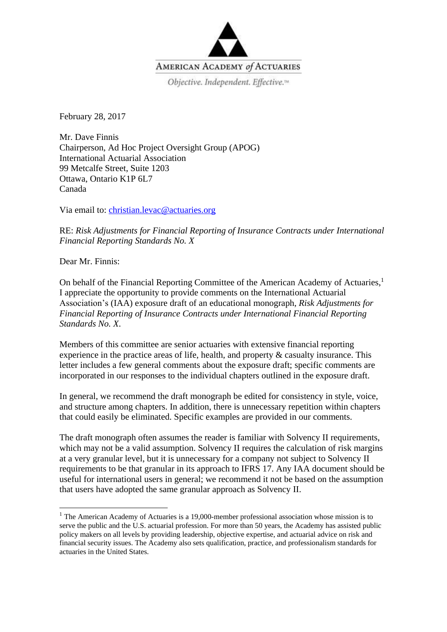

February 28, 2017

Mr. Dave Finnis Chairperson, Ad Hoc Project Oversight Group (APOG) International Actuarial Association 99 Metcalfe Street, Suite 1203 Ottawa, Ontario K1P 6L7 Canada

Via email to: [christian.levac@actuaries.org](mailto:christian.levac@actuaries.org)

RE: *Risk Adjustments for Financial Reporting of Insurance Contracts under International Financial Reporting Standards No. X*

Dear Mr. Finnis:

 $\overline{\phantom{a}}$ 

On behalf of the Financial Reporting Committee of the American Academy of Actuaries,<sup>1</sup> I appreciate the opportunity to provide comments on the International Actuarial Association's (IAA) exposure draft of an educational monograph, *Risk Adjustments for Financial Reporting of Insurance Contracts under International Financial Reporting Standards No. X*.

Members of this committee are senior actuaries with extensive financial reporting experience in the practice areas of life, health, and property & casualty insurance. This letter includes a few general comments about the exposure draft; specific comments are incorporated in our responses to the individual chapters outlined in the exposure draft.

In general, we recommend the draft monograph be edited for consistency in style, voice, and structure among chapters. In addition, there is unnecessary repetition within chapters that could easily be eliminated. Specific examples are provided in our comments.

The draft monograph often assumes the reader is familiar with Solvency II requirements, which may not be a valid assumption. Solvency II requires the calculation of risk margins at a very granular level, but it is unnecessary for a company not subject to Solvency II requirements to be that granular in its approach to IFRS 17. Any IAA document should be useful for international users in general; we recommend it not be based on the assumption that users have adopted the same granular approach as Solvency II.

<sup>&</sup>lt;sup>1</sup> The American Academy of Actuaries is a 19,000-member professional association whose mission is to serve the public and the U.S. actuarial profession. For more than 50 years, the Academy has assisted public policy makers on all levels by providing leadership, objective expertise, and actuarial advice on risk and financial security issues. The Academy also sets qualification, practice, and professionalism standards for actuaries in the United States.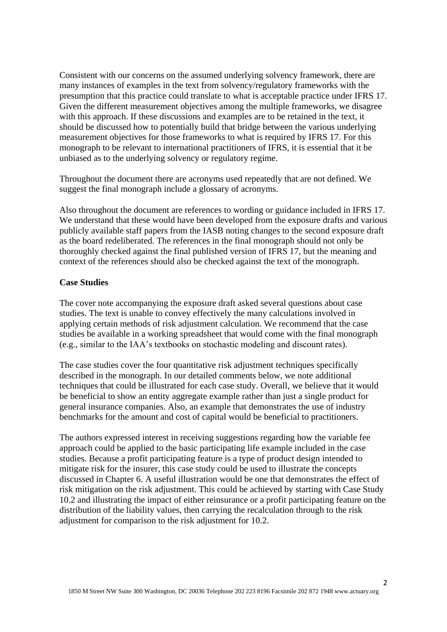Consistent with our concerns on the assumed underlying solvency framework, there are many instances of examples in the text from solvency/regulatory frameworks with the presumption that this practice could translate to what is acceptable practice under IFRS 17. Given the different measurement objectives among the multiple frameworks, we disagree with this approach. If these discussions and examples are to be retained in the text, it should be discussed how to potentially build that bridge between the various underlying measurement objectives for those frameworks to what is required by IFRS 17. For this monograph to be relevant to international practitioners of IFRS, it is essential that it be unbiased as to the underlying solvency or regulatory regime.

Throughout the document there are acronyms used repeatedly that are not defined. We suggest the final monograph include a glossary of acronyms.

Also throughout the document are references to wording or guidance included in IFRS 17. We understand that these would have been developed from the exposure drafts and various publicly available staff papers from the IASB noting changes to the second exposure draft as the board redeliberated. The references in the final monograph should not only be thoroughly checked against the final published version of IFRS 17, but the meaning and context of the references should also be checked against the text of the monograph.

#### **Case Studies**

The cover note accompanying the exposure draft asked several questions about case studies. The text is unable to convey effectively the many calculations involved in applying certain methods of risk adjustment calculation. We recommend that the case studies be available in a working spreadsheet that would come with the final monograph (e.g., similar to the IAA's textbooks on stochastic modeling and discount rates).

The case studies cover the four quantitative risk adjustment techniques specifically described in the monograph. In our detailed comments below, we note additional techniques that could be illustrated for each case study. Overall, we believe that it would be beneficial to show an entity aggregate example rather than just a single product for general insurance companies. Also, an example that demonstrates the use of industry benchmarks for the amount and cost of capital would be beneficial to practitioners.

The authors expressed interest in receiving suggestions regarding how the variable fee approach could be applied to the basic participating life example included in the case studies. Because a profit participating feature is a type of product design intended to mitigate risk for the insurer, this case study could be used to illustrate the concepts discussed in Chapter 6. A useful illustration would be one that demonstrates the effect of risk mitigation on the risk adjustment. This could be achieved by starting with Case Study 10.2 and illustrating the impact of either reinsurance or a profit participating feature on the distribution of the liability values, then carrying the recalculation through to the risk adjustment for comparison to the risk adjustment for 10.2.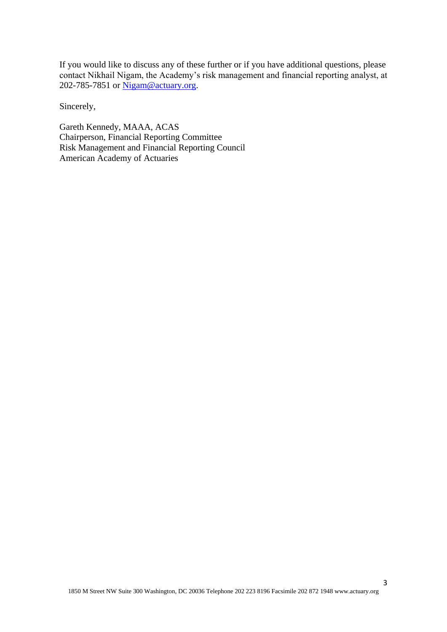If you would like to discuss any of these further or if you have additional questions, please contact Nikhail Nigam, the Academy's risk management and financial reporting analyst, at 202-785-7851 or [Nigam@actuary.org.](mailto:Nigam@actuary.org)

Sincerely,

Gareth Kennedy, MAAA, ACAS Chairperson, Financial Reporting Committee Risk Management and Financial Reporting Council American Academy of Actuaries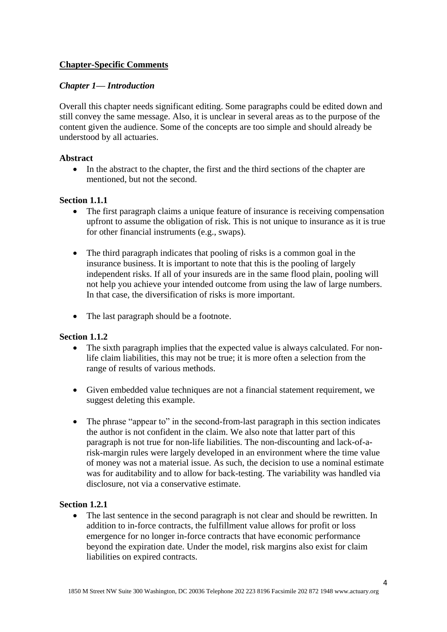# **Chapter-Specific Comments**

## *Chapter 1— Introduction*

Overall this chapter needs significant editing. Some paragraphs could be edited down and still convey the same message. Also, it is unclear in several areas as to the purpose of the content given the audience. Some of the concepts are too simple and should already be understood by all actuaries.

## **Abstract**

 In the abstract to the chapter, the first and the third sections of the chapter are mentioned, but not the second.

## **Section 1.1.1**

- The first paragraph claims a unique feature of insurance is receiving compensation upfront to assume the obligation of risk. This is not unique to insurance as it is true for other financial instruments (e.g., swaps).
- The third paragraph indicates that pooling of risks is a common goal in the insurance business. It is important to note that this is the pooling of largely independent risks. If all of your insureds are in the same flood plain, pooling will not help you achieve your intended outcome from using the law of large numbers. In that case, the diversification of risks is more important.
- The last paragraph should be a footnote.

#### **Section 1.1.2**

- The sixth paragraph implies that the expected value is always calculated. For nonlife claim liabilities, this may not be true; it is more often a selection from the range of results of various methods.
- Given embedded value techniques are not a financial statement requirement, we suggest deleting this example.
- The phrase "appear to" in the second-from-last paragraph in this section indicates the author is not confident in the claim. We also note that latter part of this paragraph is not true for non-life liabilities. The non-discounting and lack-of-arisk-margin rules were largely developed in an environment where the time value of money was not a material issue. As such, the decision to use a nominal estimate was for auditability and to allow for back-testing. The variability was handled via disclosure, not via a conservative estimate.

#### **Section 1.2.1**

• The last sentence in the second paragraph is not clear and should be rewritten. In addition to in-force contracts, the fulfillment value allows for profit or loss emergence for no longer in-force contracts that have economic performance beyond the expiration date. Under the model, risk margins also exist for claim liabilities on expired contracts.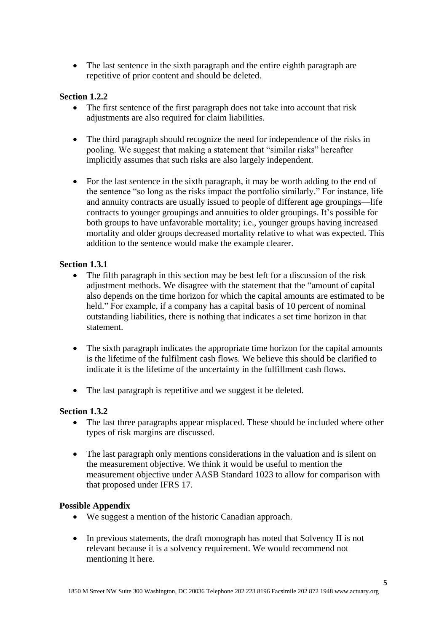• The last sentence in the sixth paragraph and the entire eighth paragraph are repetitive of prior content and should be deleted.

## **Section 1.2.2**

- The first sentence of the first paragraph does not take into account that risk adjustments are also required for claim liabilities.
- The third paragraph should recognize the need for independence of the risks in pooling. We suggest that making a statement that "similar risks" hereafter implicitly assumes that such risks are also largely independent.
- For the last sentence in the sixth paragraph, it may be worth adding to the end of the sentence "so long as the risks impact the portfolio similarly." For instance, life and annuity contracts are usually issued to people of different age groupings—life contracts to younger groupings and annuities to older groupings. It's possible for both groups to have unfavorable mortality; i.e., younger groups having increased mortality and older groups decreased mortality relative to what was expected. This addition to the sentence would make the example clearer.

#### **Section 1.3.1**

- The fifth paragraph in this section may be best left for a discussion of the risk adjustment methods. We disagree with the statement that the "amount of capital also depends on the time horizon for which the capital amounts are estimated to be held." For example, if a company has a capital basis of 10 percent of nominal outstanding liabilities, there is nothing that indicates a set time horizon in that statement.
- The sixth paragraph indicates the appropriate time horizon for the capital amounts is the lifetime of the fulfilment cash flows. We believe this should be clarified to indicate it is the lifetime of the uncertainty in the fulfillment cash flows.
- The last paragraph is repetitive and we suggest it be deleted.

#### **Section 1.3.2**

- The last three paragraphs appear misplaced. These should be included where other types of risk margins are discussed.
- The last paragraph only mentions considerations in the valuation and is silent on the measurement objective. We think it would be useful to mention the measurement objective under AASB Standard 1023 to allow for comparison with that proposed under IFRS 17.

#### **Possible Appendix**

- We suggest a mention of the historic Canadian approach.
- In previous statements, the draft monograph has noted that Solvency II is not relevant because it is a solvency requirement. We would recommend not mentioning it here.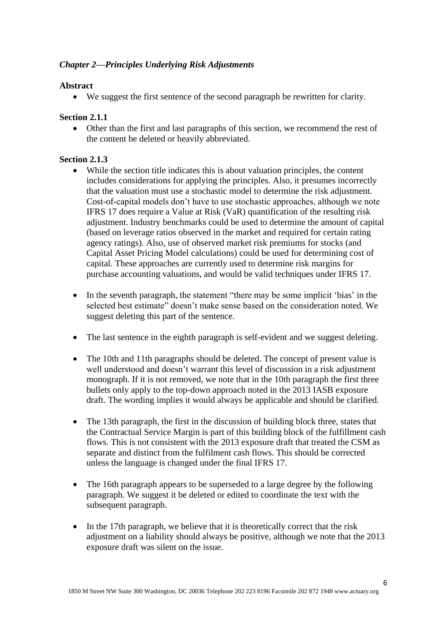# *Chapter 2—Principles Underlying Risk Adjustments*

## **Abstract**

We suggest the first sentence of the second paragraph be rewritten for clarity.

## **Section 2.1.1**

 Other than the first and last paragraphs of this section, we recommend the rest of the content be deleted or heavily abbreviated.

## **Section 2.1.3**

- While the section title indicates this is about valuation principles, the content includes considerations for applying the principles. Also, it presumes incorrectly that the valuation must use a stochastic model to determine the risk adjustment. Cost-of-capital models don't have to use stochastic approaches, although we note IFRS 17 does require a Value at Risk (VaR) quantification of the resulting risk adjustment. Industry benchmarks could be used to determine the amount of capital (based on leverage ratios observed in the market and required for certain rating agency ratings). Also, use of observed market risk premiums for stocks (and Capital Asset Pricing Model calculations) could be used for determining cost of capital. These approaches are currently used to determine risk margins for purchase accounting valuations, and would be valid techniques under IFRS 17.
- In the seventh paragraph, the statement "there may be some implicit 'bias' in the selected best estimate" doesn't make sense based on the consideration noted. We suggest deleting this part of the sentence.
- The last sentence in the eighth paragraph is self-evident and we suggest deleting.
- The 10th and 11th paragraphs should be deleted. The concept of present value is well understood and doesn't warrant this level of discussion in a risk adjustment monograph. If it is not removed, we note that in the 10th paragraph the first three bullets only apply to the top-down approach noted in the 2013 IASB exposure draft. The wording implies it would always be applicable and should be clarified.
- The 13th paragraph, the first in the discussion of building block three, states that the Contractual Service Margin is part of this building block of the fulfillment cash flows. This is not consistent with the 2013 exposure draft that treated the CSM as separate and distinct from the fulfilment cash flows. This should be corrected unless the language is changed under the final IFRS 17.
- The 16th paragraph appears to be superseded to a large degree by the following paragraph. We suggest it be deleted or edited to coordinate the text with the subsequent paragraph.
- In the 17th paragraph, we believe that it is theoretically correct that the risk adjustment on a liability should always be positive, although we note that the 2013 exposure draft was silent on the issue.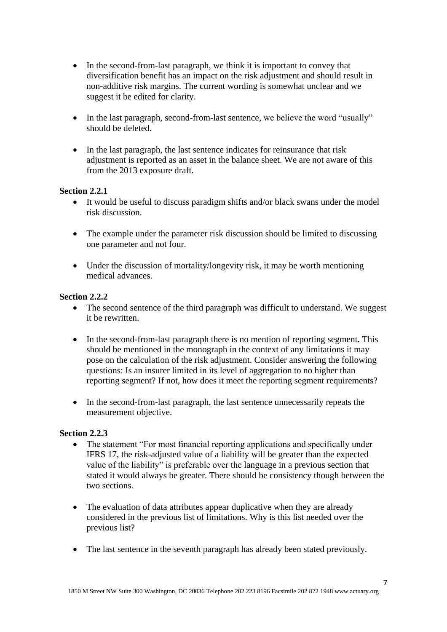- In the second-from-last paragraph, we think it is important to convey that diversification benefit has an impact on the risk adjustment and should result in non-additive risk margins. The current wording is somewhat unclear and we suggest it be edited for clarity.
- In the last paragraph, second-from-last sentence, we believe the word "usually" should be deleted.
- In the last paragraph, the last sentence indicates for reinsurance that risk adjustment is reported as an asset in the balance sheet. We are not aware of this from the 2013 exposure draft.

## **Section 2.2.1**

- It would be useful to discuss paradigm shifts and/or black swans under the model risk discussion.
- The example under the parameter risk discussion should be limited to discussing one parameter and not four.
- Under the discussion of mortality/longevity risk, it may be worth mentioning medical advances.

## **Section 2.2.2**

- The second sentence of the third paragraph was difficult to understand. We suggest it be rewritten.
- In the second-from-last paragraph there is no mention of reporting segment. This should be mentioned in the monograph in the context of any limitations it may pose on the calculation of the risk adjustment. Consider answering the following questions: Is an insurer limited in its level of aggregation to no higher than reporting segment? If not, how does it meet the reporting segment requirements?
- In the second-from-last paragraph, the last sentence unnecessarily repeats the measurement objective.

#### **Section 2.2.3**

- The statement "For most financial reporting applications and specifically under IFRS 17, the risk-adjusted value of a liability will be greater than the expected value of the liability" is preferable over the language in a previous section that stated it would always be greater. There should be consistency though between the two sections.
- The evaluation of data attributes appear duplicative when they are already considered in the previous list of limitations. Why is this list needed over the previous list?
- The last sentence in the seventh paragraph has already been stated previously.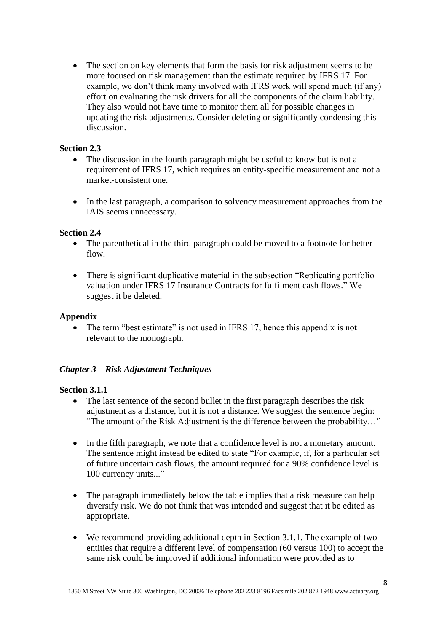• The section on key elements that form the basis for risk adjustment seems to be more focused on risk management than the estimate required by IFRS 17. For example, we don't think many involved with IFRS work will spend much (if any) effort on evaluating the risk drivers for all the components of the claim liability. They also would not have time to monitor them all for possible changes in updating the risk adjustments. Consider deleting or significantly condensing this discussion.

#### **Section 2.3**

- The discussion in the fourth paragraph might be useful to know but is not a requirement of IFRS 17, which requires an entity-specific measurement and not a market-consistent one.
- In the last paragraph, a comparison to solvency measurement approaches from the IAIS seems unnecessary.

## **Section 2.4**

- The parenthetical in the third paragraph could be moved to a footnote for better flow.
- There is significant duplicative material in the subsection "Replicating portfolio" valuation under IFRS 17 Insurance Contracts for fulfilment cash flows." We suggest it be deleted.

#### **Appendix**

The term "best estimate" is not used in IFRS 17, hence this appendix is not relevant to the monograph.

#### *Chapter 3—Risk Adjustment Techniques*

#### **Section 3.1.1**

- The last sentence of the second bullet in the first paragraph describes the risk adjustment as a distance, but it is not a distance. We suggest the sentence begin: "The amount of the Risk Adjustment is the difference between the probability…"
- In the fifth paragraph, we note that a confidence level is not a monetary amount. The sentence might instead be edited to state "For example, if, for a particular set of future uncertain cash flows, the amount required for a 90% confidence level is 100 currency units..."
- The paragraph immediately below the table implies that a risk measure can help diversify risk. We do not think that was intended and suggest that it be edited as appropriate.
- We recommend providing additional depth in Section 3.1.1. The example of two entities that require a different level of compensation (60 versus 100) to accept the same risk could be improved if additional information were provided as to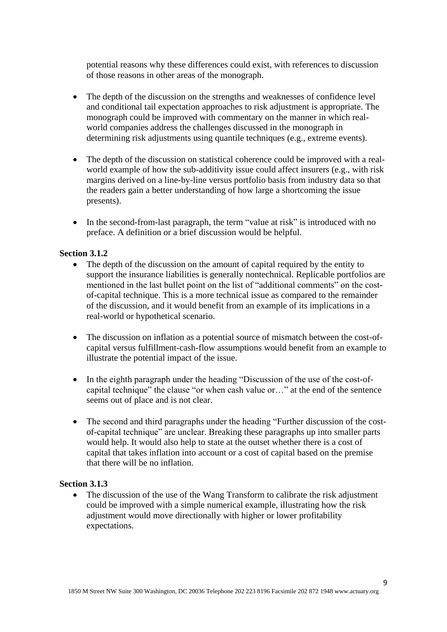potential reasons why these differences could exist, with references to discussion of those reasons in other areas of the monograph.

- The depth of the discussion on the strengths and weaknesses of confidence level and conditional tail expectation approaches to risk adjustment is appropriate. The monograph could be improved with commentary on the manner in which realworld companies address the challenges discussed in the monograph in determining risk adjustments using quantile techniques (e.g., extreme events).
- The depth of the discussion on statistical coherence could be improved with a realworld example of how the sub-additivity issue could affect insurers (e.g., with risk margins derived on a line-by-line versus portfolio basis from industry data so that the readers gain a better understanding of how large a shortcoming the issue presents).
- In the second-from-last paragraph, the term "value at risk" is introduced with no preface. A definition or a brief discussion would be helpful.

#### **Section 3.1.2**

- The depth of the discussion on the amount of capital required by the entity to support the insurance liabilities is generally nontechnical. Replicable portfolios are mentioned in the last bullet point on the list of "additional comments" on the costof-capital technique. This is a more technical issue as compared to the remainder of the discussion, and it would benefit from an example of its implications in a real-world or hypothetical scenario.
- The discussion on inflation as a potential source of mismatch between the cost-ofcapital versus fulfillment-cash-flow assumptions would benefit from an example to illustrate the potential impact of the issue.
- In the eighth paragraph under the heading "Discussion of the use of the cost-ofcapital technique" the clause "or when cash value or…" at the end of the sentence seems out of place and is not clear.
- The second and third paragraphs under the heading "Further discussion of the costof-capital technique" are unclear. Breaking these paragraphs up into smaller parts would help. It would also help to state at the outset whether there is a cost of capital that takes inflation into account or a cost of capital based on the premise that there will be no inflation.

#### **Section 3.1.3**

• The discussion of the use of the Wang Transform to calibrate the risk adjustment could be improved with a simple numerical example, illustrating how the risk adjustment would move directionally with higher or lower profitability expectations.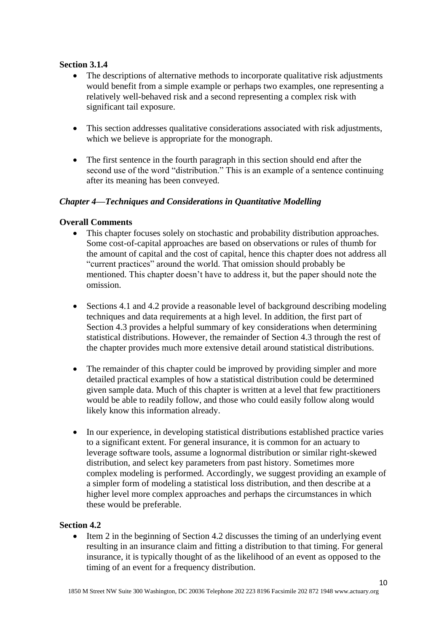# **Section 3.1.4**

- The descriptions of alternative methods to incorporate qualitative risk adjustments would benefit from a simple example or perhaps two examples, one representing a relatively well-behaved risk and a second representing a complex risk with significant tail exposure.
- This section addresses qualitative considerations associated with risk adjustments, which we believe is appropriate for the monograph.
- The first sentence in the fourth paragraph in this section should end after the second use of the word "distribution." This is an example of a sentence continuing after its meaning has been conveyed.

## *Chapter 4—Techniques and Considerations in Quantitative Modelling*

# **Overall Comments**

- This chapter focuses solely on stochastic and probability distribution approaches. Some cost-of-capital approaches are based on observations or rules of thumb for the amount of capital and the cost of capital, hence this chapter does not address all "current practices" around the world. That omission should probably be mentioned. This chapter doesn't have to address it, but the paper should note the omission.
- Sections 4.1 and 4.2 provide a reasonable level of background describing modeling techniques and data requirements at a high level. In addition, the first part of Section 4.3 provides a helpful summary of key considerations when determining statistical distributions. However, the remainder of Section 4.3 through the rest of the chapter provides much more extensive detail around statistical distributions.
- The remainder of this chapter could be improved by providing simpler and more detailed practical examples of how a statistical distribution could be determined given sample data. Much of this chapter is written at a level that few practitioners would be able to readily follow, and those who could easily follow along would likely know this information already.
- In our experience, in developing statistical distributions established practice varies to a significant extent. For general insurance, it is common for an actuary to leverage software tools, assume a lognormal distribution or similar right-skewed distribution, and select key parameters from past history. Sometimes more complex modeling is performed. Accordingly, we suggest providing an example of a simpler form of modeling a statistical loss distribution, and then describe at a higher level more complex approaches and perhaps the circumstances in which these would be preferable.

#### **Section 4.2**

 $\bullet$  Item 2 in the beginning of Section 4.2 discusses the timing of an underlying event resulting in an insurance claim and fitting a distribution to that timing. For general insurance, it is typically thought of as the likelihood of an event as opposed to the timing of an event for a frequency distribution.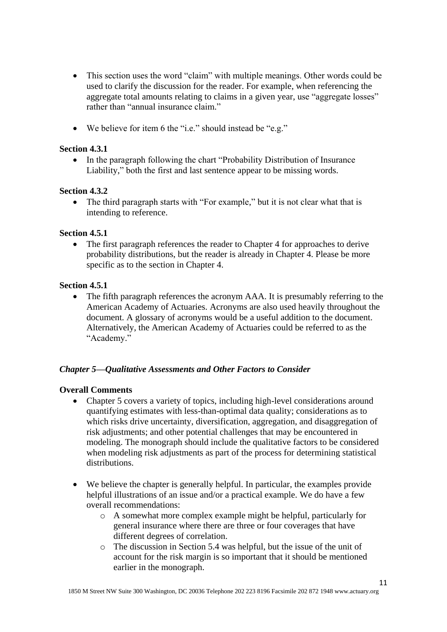- This section uses the word "claim" with multiple meanings. Other words could be used to clarify the discussion for the reader. For example, when referencing the aggregate total amounts relating to claims in a given year, use "aggregate losses" rather than "annual insurance claim."
- We believe for item 6 the "i.e." should instead be "e.g."

## **Section 4.3.1**

• In the paragraph following the chart "Probability Distribution of Insurance Liability," both the first and last sentence appear to be missing words.

## **Section 4.3.2**

• The third paragraph starts with "For example," but it is not clear what that is intending to reference.

## **Section 4.5.1**

 The first paragraph references the reader to Chapter 4 for approaches to derive probability distributions, but the reader is already in Chapter 4. Please be more specific as to the section in Chapter 4.

## **Section 4.5.1**

• The fifth paragraph references the acronym AAA. It is presumably referring to the American Academy of Actuaries. Acronyms are also used heavily throughout the document. A glossary of acronyms would be a useful addition to the document. Alternatively, the American Academy of Actuaries could be referred to as the "Academy."

#### *Chapter 5—Qualitative Assessments and Other Factors to Consider*

#### **Overall Comments**

- Chapter 5 covers a variety of topics, including high-level considerations around quantifying estimates with less-than-optimal data quality; considerations as to which risks drive uncertainty, diversification, aggregation, and disaggregation of risk adjustments; and other potential challenges that may be encountered in modeling. The monograph should include the qualitative factors to be considered when modeling risk adjustments as part of the process for determining statistical distributions.
- We believe the chapter is generally helpful. In particular, the examples provide helpful illustrations of an issue and/or a practical example. We do have a few overall recommendations:
	- o A somewhat more complex example might be helpful, particularly for general insurance where there are three or four coverages that have different degrees of correlation.
	- o The discussion in Section 5.4 was helpful, but the issue of the unit of account for the risk margin is so important that it should be mentioned earlier in the monograph.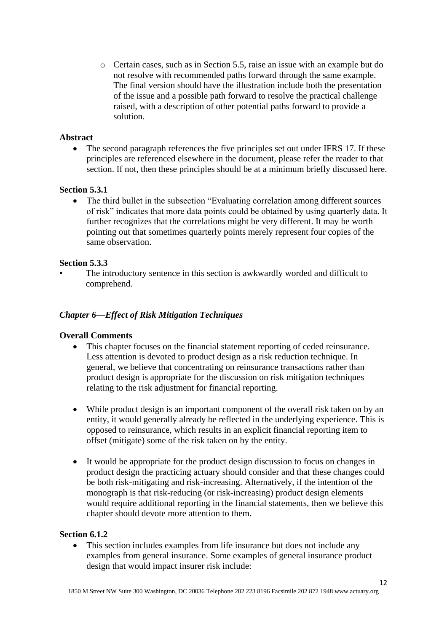o Certain cases, such as in Section 5.5, raise an issue with an example but do not resolve with recommended paths forward through the same example. The final version should have the illustration include both the presentation of the issue and a possible path forward to resolve the practical challenge raised, with a description of other potential paths forward to provide a solution.

## **Abstract**

• The second paragraph references the five principles set out under IFRS 17. If these principles are referenced elsewhere in the document, please refer the reader to that section. If not, then these principles should be at a minimum briefly discussed here.

## **Section 5.3.1**

 The third bullet in the subsection "Evaluating correlation among different sources of risk" indicates that more data points could be obtained by using quarterly data. It further recognizes that the correlations might be very different. It may be worth pointing out that sometimes quarterly points merely represent four copies of the same observation.

## **Section 5.3.3**

The introductory sentence in this section is awkwardly worded and difficult to comprehend.

## *Chapter 6—Effect of Risk Mitigation Techniques*

#### **Overall Comments**

- This chapter focuses on the financial statement reporting of ceded reinsurance. Less attention is devoted to product design as a risk reduction technique. In general, we believe that concentrating on reinsurance transactions rather than product design is appropriate for the discussion on risk mitigation techniques relating to the risk adjustment for financial reporting.
- While product design is an important component of the overall risk taken on by an entity, it would generally already be reflected in the underlying experience. This is opposed to reinsurance, which results in an explicit financial reporting item to offset (mitigate) some of the risk taken on by the entity.
- It would be appropriate for the product design discussion to focus on changes in product design the practicing actuary should consider and that these changes could be both risk-mitigating and risk-increasing. Alternatively, if the intention of the monograph is that risk-reducing (or risk-increasing) product design elements would require additional reporting in the financial statements, then we believe this chapter should devote more attention to them.

#### **Section 6.1.2**

• This section includes examples from life insurance but does not include any examples from general insurance. Some examples of general insurance product design that would impact insurer risk include: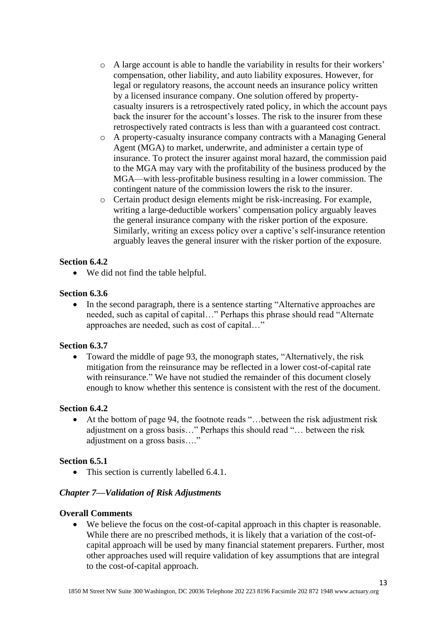- o A large account is able to handle the variability in results for their workers' compensation, other liability, and auto liability exposures. However, for legal or regulatory reasons, the account needs an insurance policy written by a licensed insurance company. One solution offered by propertycasualty insurers is a retrospectively rated policy, in which the account pays back the insurer for the account's losses. The risk to the insurer from these retrospectively rated contracts is less than with a guaranteed cost contract.
- o A property-casualty insurance company contracts with a Managing General Agent (MGA) to market, underwrite, and administer a certain type of insurance. To protect the insurer against moral hazard, the commission paid to the MGA may vary with the profitability of the business produced by the MGA—with less-profitable business resulting in a lower commission. The contingent nature of the commission lowers the risk to the insurer.
- o Certain product design elements might be risk-increasing. For example, writing a large-deductible workers' compensation policy arguably leaves the general insurance company with the risker portion of the exposure. Similarly, writing an excess policy over a captive's self-insurance retention arguably leaves the general insurer with the risker portion of the exposure.

## **Section 6.4.2**

We did not find the table helpful.

#### **Section 6.3.6**

• In the second paragraph, there is a sentence starting "Alternative approaches are needed, such as capital of capital…" Perhaps this phrase should read "Alternate approaches are needed, such as cost of capital…"

#### **Section 6.3.7**

 Toward the middle of page 93, the monograph states, "Alternatively, the risk mitigation from the reinsurance may be reflected in a lower cost-of-capital rate with reinsurance." We have not studied the remainder of this document closely enough to know whether this sentence is consistent with the rest of the document.

#### **Section 6.4.2**

 At the bottom of page 94, the footnote reads "…between the risk adjustment risk adjustment on a gross basis…" Perhaps this should read "… between the risk adjustment on a gross basis…."

#### **Section 6.5.1**

• This section is currently labelled 6.4.1.

#### *Chapter 7—Validation of Risk Adjustments*

## **Overall Comments**

 We believe the focus on the cost-of-capital approach in this chapter is reasonable. While there are no prescribed methods, it is likely that a variation of the cost-ofcapital approach will be used by many financial statement preparers. Further, most other approaches used will require validation of key assumptions that are integral to the cost-of-capital approach.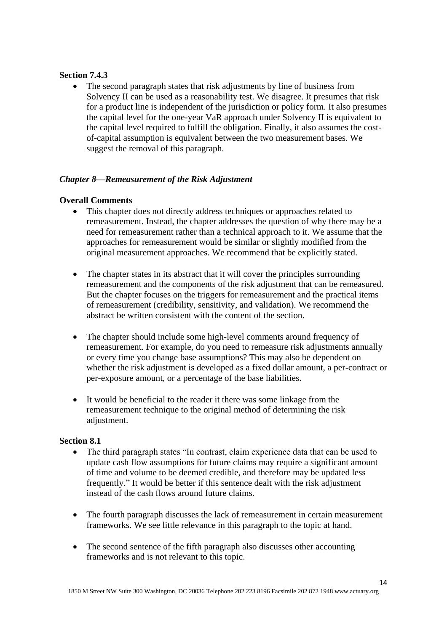## **Section 7.4.3**

• The second paragraph states that risk adjustments by line of business from Solvency II can be used as a reasonability test. We disagree. It presumes that risk for a product line is independent of the jurisdiction or policy form. It also presumes the capital level for the one-year VaR approach under Solvency II is equivalent to the capital level required to fulfill the obligation. Finally, it also assumes the costof-capital assumption is equivalent between the two measurement bases. We suggest the removal of this paragraph.

# *Chapter 8—Remeasurement of the Risk Adjustment*

## **Overall Comments**

- This chapter does not directly address techniques or approaches related to remeasurement. Instead, the chapter addresses the question of why there may be a need for remeasurement rather than a technical approach to it. We assume that the approaches for remeasurement would be similar or slightly modified from the original measurement approaches. We recommend that be explicitly stated.
- The chapter states in its abstract that it will cover the principles surrounding remeasurement and the components of the risk adjustment that can be remeasured. But the chapter focuses on the triggers for remeasurement and the practical items of remeasurement (credibility, sensitivity, and validation). We recommend the abstract be written consistent with the content of the section.
- The chapter should include some high-level comments around frequency of remeasurement. For example, do you need to remeasure risk adjustments annually or every time you change base assumptions? This may also be dependent on whether the risk adjustment is developed as a fixed dollar amount, a per-contract or per-exposure amount, or a percentage of the base liabilities.
- It would be beneficial to the reader it there was some linkage from the remeasurement technique to the original method of determining the risk adjustment.

# Section 8.1<br>• The

- The third paragraph states "In contrast, claim experience data that can be used to update cash flow assumptions for future claims may require a significant amount of time and volume to be deemed credible, and therefore may be updated less frequently." It would be better if this sentence dealt with the risk adjustment instead of the cash flows around future claims.
- The fourth paragraph discusses the lack of remeasurement in certain measurement frameworks. We see little relevance in this paragraph to the topic at hand.
- The second sentence of the fifth paragraph also discusses other accounting frameworks and is not relevant to this topic.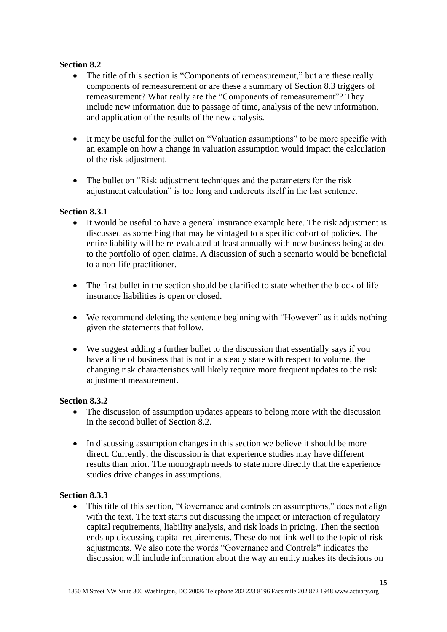# **Section 8.2**

- The title of this section is "Components of remeasurement," but are these really components of remeasurement or are these a summary of Section 8.3 triggers of remeasurement? What really are the "Components of remeasurement"? They include new information due to passage of time, analysis of the new information, and application of the results of the new analysis.
- It may be useful for the bullet on "Valuation assumptions" to be more specific with an example on how a change in valuation assumption would impact the calculation of the risk adjustment.
- The bullet on "Risk adjustment techniques and the parameters for the risk adjustment calculation" is too long and undercuts itself in the last sentence.

#### **Section 8.3.1**

- It would be useful to have a general insurance example here. The risk adjustment is discussed as something that may be vintaged to a specific cohort of policies. The entire liability will be re-evaluated at least annually with new business being added to the portfolio of open claims. A discussion of such a scenario would be beneficial to a non-life practitioner.
- The first bullet in the section should be clarified to state whether the block of life insurance liabilities is open or closed.
- We recommend deleting the sentence beginning with "However" as it adds nothing given the statements that follow.
- We suggest adding a further bullet to the discussion that essentially says if you have a line of business that is not in a steady state with respect to volume, the changing risk characteristics will likely require more frequent updates to the risk adjustment measurement.

#### **Section 8.3.2**

- The discussion of assumption updates appears to belong more with the discussion in the second bullet of Section 8.2.
- In discussing assumption changes in this section we believe it should be more direct. Currently, the discussion is that experience studies may have different results than prior. The monograph needs to state more directly that the experience studies drive changes in assumptions.

#### **Section 8.3.3**

• This title of this section, "Governance and controls on assumptions," does not align with the text. The text starts out discussing the impact or interaction of regulatory capital requirements, liability analysis, and risk loads in pricing. Then the section ends up discussing capital requirements. These do not link well to the topic of risk adjustments. We also note the words "Governance and Controls" indicates the discussion will include information about the way an entity makes its decisions on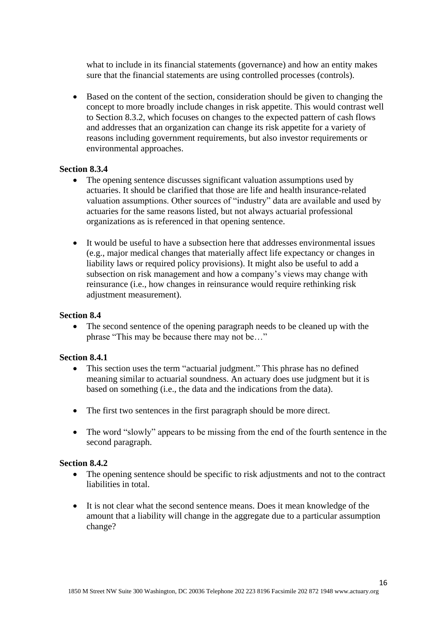what to include in its financial statements (governance) and how an entity makes sure that the financial statements are using controlled processes (controls).

 Based on the content of the section, consideration should be given to changing the concept to more broadly include changes in risk appetite. This would contrast well to Section 8.3.2, which focuses on changes to the expected pattern of cash flows and addresses that an organization can change its risk appetite for a variety of reasons including government requirements, but also investor requirements or environmental approaches.

#### **Section 8.3.4**

- The opening sentence discusses significant valuation assumptions used by actuaries. It should be clarified that those are life and health insurance-related valuation assumptions. Other sources of "industry" data are available and used by actuaries for the same reasons listed, but not always actuarial professional organizations as is referenced in that opening sentence.
- It would be useful to have a subsection here that addresses environmental issues (e.g., major medical changes that materially affect life expectancy or changes in liability laws or required policy provisions). It might also be useful to add a subsection on risk management and how a company's views may change with reinsurance (i.e., how changes in reinsurance would require rethinking risk adjustment measurement).

#### **Section 8.4**

• The second sentence of the opening paragraph needs to be cleaned up with the phrase "This may be because there may not be…"

#### **Section 8.4.1**

- This section uses the term "actuarial judgment." This phrase has no defined meaning similar to actuarial soundness. An actuary does use judgment but it is based on something (i.e., the data and the indications from the data).
- The first two sentences in the first paragraph should be more direct.
- The word "slowly" appears to be missing from the end of the fourth sentence in the second paragraph.

#### **Section 8.4.2**

- The opening sentence should be specific to risk adjustments and not to the contract liabilities in total.
- It is not clear what the second sentence means. Does it mean knowledge of the amount that a liability will change in the aggregate due to a particular assumption change?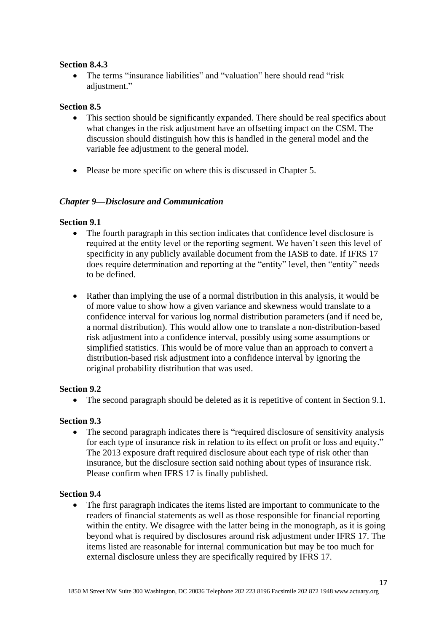## **Section 8.4.3**

 The terms "insurance liabilities" and "valuation" here should read "risk adjustment."

## **Section 8.5**

- This section should be significantly expanded. There should be real specifics about what changes in the risk adjustment have an offsetting impact on the CSM. The discussion should distinguish how this is handled in the general model and the variable fee adjustment to the general model.
- Please be more specific on where this is discussed in Chapter 5.

## *Chapter 9—Disclosure and Communication*

## **Section 9.1**

- The fourth paragraph in this section indicates that confidence level disclosure is required at the entity level or the reporting segment. We haven't seen this level of specificity in any publicly available document from the IASB to date. If IFRS 17 does require determination and reporting at the "entity" level, then "entity" needs to be defined.
- Rather than implying the use of a normal distribution in this analysis, it would be of more value to show how a given variance and skewness would translate to a confidence interval for various log normal distribution parameters (and if need be, a normal distribution). This would allow one to translate a non-distribution-based risk adjustment into a confidence interval, possibly using some assumptions or simplified statistics. This would be of more value than an approach to convert a distribution-based risk adjustment into a confidence interval by ignoring the original probability distribution that was used.

# **Section 9.2**

The second paragraph should be deleted as it is repetitive of content in Section 9.1.

# **Section 9.3**

 The second paragraph indicates there is "required disclosure of sensitivity analysis for each type of insurance risk in relation to its effect on profit or loss and equity." The 2013 exposure draft required disclosure about each type of risk other than insurance, but the disclosure section said nothing about types of insurance risk. Please confirm when IFRS 17 is finally published.

# **Section 9.4**

 The first paragraph indicates the items listed are important to communicate to the readers of financial statements as well as those responsible for financial reporting within the entity. We disagree with the latter being in the monograph, as it is going beyond what is required by disclosures around risk adjustment under IFRS 17. The items listed are reasonable for internal communication but may be too much for external disclosure unless they are specifically required by IFRS 17.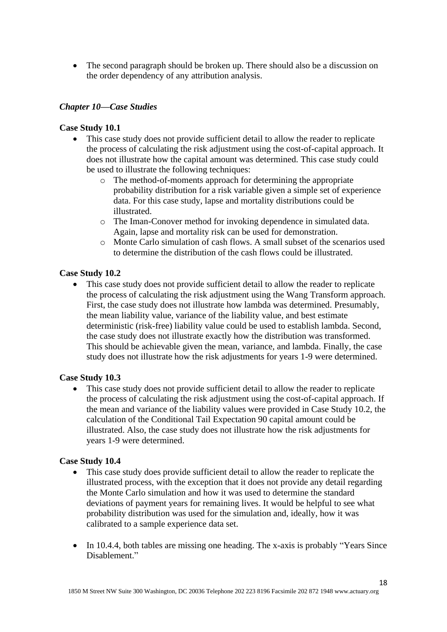• The second paragraph should be broken up. There should also be a discussion on the order dependency of any attribution analysis.

## *Chapter 10—Case Studies*

## **Case Study 10.1**

- This case study does not provide sufficient detail to allow the reader to replicate the process of calculating the risk adjustment using the cost-of-capital approach. It does not illustrate how the capital amount was determined. This case study could be used to illustrate the following techniques:
	- o The method-of-moments approach for determining the appropriate probability distribution for a risk variable given a simple set of experience data. For this case study, lapse and mortality distributions could be illustrated.
	- o The Iman-Conover method for invoking dependence in simulated data. Again, lapse and mortality risk can be used for demonstration.
	- o Monte Carlo simulation of cash flows. A small subset of the scenarios used to determine the distribution of the cash flows could be illustrated.

## **Case Study 10.2**

 This case study does not provide sufficient detail to allow the reader to replicate the process of calculating the risk adjustment using the Wang Transform approach. First, the case study does not illustrate how lambda was determined. Presumably, the mean liability value, variance of the liability value, and best estimate deterministic (risk-free) liability value could be used to establish lambda. Second, the case study does not illustrate exactly how the distribution was transformed. This should be achievable given the mean, variance, and lambda. Finally, the case study does not illustrate how the risk adjustments for years 1-9 were determined.

#### **Case Study 10.3**

 This case study does not provide sufficient detail to allow the reader to replicate the process of calculating the risk adjustment using the cost-of-capital approach. If the mean and variance of the liability values were provided in Case Study 10.2, the calculation of the Conditional Tail Expectation 90 capital amount could be illustrated. Also, the case study does not illustrate how the risk adjustments for years 1-9 were determined.

#### **Case Study 10.4**

- This case study does provide sufficient detail to allow the reader to replicate the illustrated process, with the exception that it does not provide any detail regarding the Monte Carlo simulation and how it was used to determine the standard deviations of payment years for remaining lives. It would be helpful to see what probability distribution was used for the simulation and, ideally, how it was calibrated to a sample experience data set.
- In 10.4.4, both tables are missing one heading. The x-axis is probably "Years Since" Disablement."